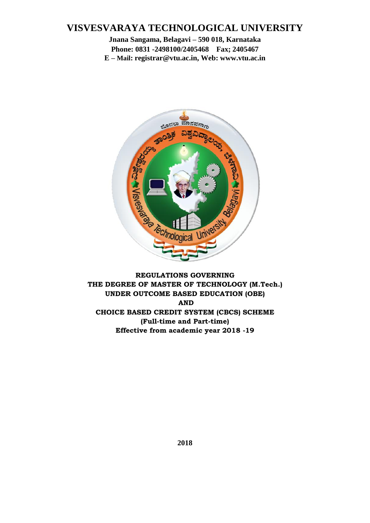### **VISVESVARAYA TECHNOLOGICAL UNIVERSITY**

**Jnana Sangama, Belagavi – 590 018, Karnataka Phone: 0831 -2498100/2405468 Fax; 2405467 E – Mail: registrar@vtu.ac.in, Web: www.vtu.ac.in**



**REGULATIONS GOVERNING THE DEGREE OF MASTER OF TECHNOLOGY (M.Tech.) UNDER OUTCOME BASED EDUCATION (OBE) AND CHOICE BASED CREDIT SYSTEM (CBCS) SCHEME (Full-time and Part-time) Effective from academic year 2018 -19**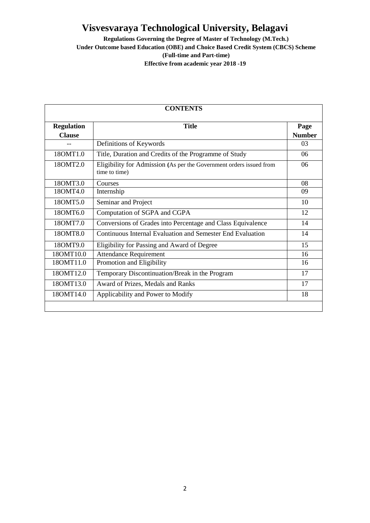**Regulations Governing the Degree of Master of Technology (M.Tech.)**

**Under Outcome based Education (OBE) and Choice Based Credit System (CBCS) Scheme (Full-time and Part-time)**

|                   | <b>CONTENTS</b>                                                                      |               |
|-------------------|--------------------------------------------------------------------------------------|---------------|
| <b>Regulation</b> | <b>Title</b>                                                                         | Page          |
| <b>Clause</b>     |                                                                                      | <b>Number</b> |
|                   | Definitions of Keywords                                                              | 03            |
| 180MT1.0          | Title, Duration and Credits of the Programme of Study                                | 06            |
| 180MT2.0          | Eligibility for Admission (As per the Government orders issued from<br>time to time) | 06            |
| 180MT3.0          | Courses                                                                              | 08            |
| 180MT4.0          | Internship                                                                           | 09            |
| 180MT5.0          | Seminar and Project                                                                  | 10            |
| 180MT6.0          | Computation of SGPA and CGPA                                                         | 12            |
| 180MT7.0          | Conversions of Grades into Percentage and Class Equivalence                          | 14            |
| 180MT8.0          | Continuous Internal Evaluation and Semester End Evaluation                           | 14            |
| 18OMT9.0          | Eligibility for Passing and Award of Degree                                          | 15            |
| 18OMT10.0         | <b>Attendance Requirement</b>                                                        | 16            |
| 180MT11.0         | Promotion and Eligibility                                                            | 16            |
| 180MT12.0         | Temporary Discontinuation/Break in the Program                                       | 17            |
| 180MT13.0         | Award of Prizes, Medals and Ranks                                                    | 17            |
| 180MT14.0         | Applicability and Power to Modify                                                    | 18            |
|                   |                                                                                      |               |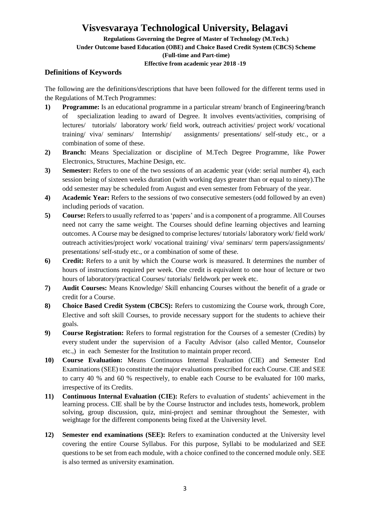**Regulations Governing the Degree of Master of Technology (M.Tech.)**

**Under Outcome based Education (OBE) and Choice Based Credit System (CBCS) Scheme**

**(Full-time and Part-time)**

#### **Effective from academic year 2018 -19**

#### **Definitions of Keywords**

The following are the definitions/descriptions that have been followed for the different terms used in the Regulations of M.Tech Programmes:

- **1) Programme:** Is an educational programme in a particular stream/ branch of Engineering/branch of specialization leading to award of Degree. It involves events/activities, comprising of lectures/ tutorials/ laboratory work/ field work, outreach activities/ project work/ vocational training/ viva/ seminars/ Internship/ assignments/ presentations/ self-study etc., or a combination of some of these.
- **2) Branch:** Means Specialization or discipline of M.Tech Degree Programme, like Power Electronics, Structures, Machine Design, etc.
- **3) Semester:** Refers to one of the two sessions of an academic year (vide: serial number 4), each session being of sixteen weeks duration (with working days greater than or equal to ninety).The odd semester may be scheduled from August and even semester from February of the year.
- **4) Academic Year:** Refers to the sessions of two consecutive semesters (odd followed by an even) including periods of vacation.
- **5) Course:** Refersto usually referred to as 'papers' and is a component of a programme. All Courses need not carry the same weight. The Courses should define learning objectives and learning outcomes. A Course may be designed to comprise lectures/ tutorials/ laboratory work/ field work/ outreach activities/project work/ vocational training/ viva/ seminars/ term papers/assignments/ presentations/ self-study etc., or a combination of some of these.
- **6) Credit:** Refers to a unit by which the Course work is measured. It determines the number of hours of instructions required per week. One credit is equivalent to one hour of lecture or two hours of laboratory/practical Courses/ tutorials/ fieldwork per week etc.
- **7) Audit Courses:** Means Knowledge/ Skill enhancing Courses without the benefit of a grade or credit for a Course.
- **8) Choice Based Credit System (CBCS):** Refers to customizing the Course work, through Core, Elective and soft skill Courses, to provide necessary support for the students to achieve their goals.
- **9) Course Registration:** Refers to formal registration for the Courses of a semester (Credits) by every student under the supervision of a Faculty Advisor (also called Mentor, Counselor etc.,) in each Semester for the Institution to maintain proper record.
- **10) Course Evaluation:** Means Continuous Internal Evaluation (CIE) and Semester End Examinations (SEE) to constitute the major evaluations prescribed for each Course. CIE and SEE to carry 40 % and 60 % respectively, to enable each Course to be evaluated for 100 marks, irrespective of its Credits.
- **11) Continuous Internal Evaluation (CIE):** Refers to evaluation of students' achievement in the learning process. CIE shall be by the Course Instructor and includes tests, homework, problem solving, group discussion, quiz, mini-project and seminar throughout the Semester, with weightage for the different components being fixed at the University level.
- **12) Semester end examinations (SEE):** Refers to examination conducted at the University level covering the entire Course Syllabus. For this purpose, Syllabi to be modularized and SEE questions to be set from each module, with a choice confined to the concerned module only. SEE is also termed as university examination.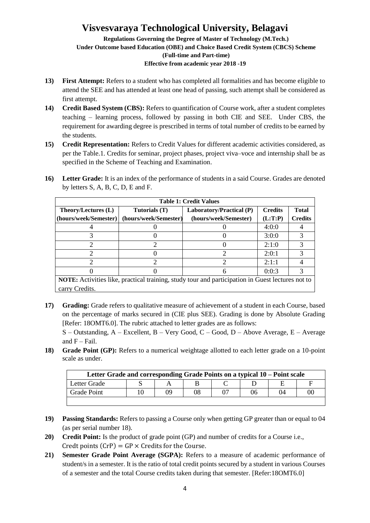#### **Regulations Governing the Degree of Master of Technology (M.Tech.) Under Outcome based Education (OBE) and Choice Based Credit System (CBCS) Scheme (Full-time and Part-time) Effective from academic year 2018 -19**

- **13) First Attempt:** Refers to a student who has completed all formalities and has become eligible to attend the SEE and has attended at least one head of passing, such attempt shall be considered as first attempt.
- **14) Credit Based System (CBS):** Refers to quantification of Course work, after a student completes teaching – learning process, followed by passing in both CIE and SEE. Under CBS, the requirement for awarding degree is prescribed in terms of total number of credits to be earned by the students.
- **15) Credit Representation:** Refers to Credit Values for different academic activities considered, as per the Table.1. Credits for seminar, project phases, project viva–voce and internship shall be as specified in the Scheme of Teaching and Examination.
- **16) Letter Grade:** It is an index of the performance of students in a said Course. Grades are denoted by letters S, A, B, C, D, E and F.

| <b>Table 1: Credit Values</b> |                       |                                                                                                        |                |                |  |  |  |  |  |
|-------------------------------|-----------------------|--------------------------------------------------------------------------------------------------------|----------------|----------------|--|--|--|--|--|
| Theory/Lectures (L)           | Tutorials (T)         | Laboratory/Practical (P)                                                                               | <b>Credits</b> | <b>Total</b>   |  |  |  |  |  |
| (hours/week/Semester)         | (hours/week/Semester) | (hours/week/Semester)                                                                                  | (L:T:P)        | <b>Credits</b> |  |  |  |  |  |
|                               |                       |                                                                                                        | 4:0:0          |                |  |  |  |  |  |
|                               |                       |                                                                                                        | 3:0:0          |                |  |  |  |  |  |
|                               |                       |                                                                                                        | 2:1:0          |                |  |  |  |  |  |
|                               |                       |                                                                                                        | 2:0:1          |                |  |  |  |  |  |
|                               |                       |                                                                                                        | 2:1:1          |                |  |  |  |  |  |
|                               |                       |                                                                                                        | 0:0:3          |                |  |  |  |  |  |
|                               |                       | <b>NOTE</b> , Activities like prectical training study tour and perticipation in Guest lectures not to |                |                |  |  |  |  |  |

**NOTE:** Activities like, practical training, study tour and participation in Guest lectures not to carry Credits.

**17) Grading:** Grade refers to qualitative measure of achievement of a student in each Course, based on the percentage of marks secured in (CIE plus SEE). Grading is done by Absolute Grading [Refer: 18OMT6.0]. The rubric attached to letter grades are as follows:

S – Outstanding, A – Excellent, B – Very Good, C – Good, D – Above Average, E – Average and  $F - Fail$ .

**18) Grade Point (GP):** Refers to a numerical weightage allotted to each letter grade on a 10-point scale as under.

| Letter Grade and corresponding Grade Points on a typical 10 – Point scale |  |    |    |  |    |    |    |  |
|---------------------------------------------------------------------------|--|----|----|--|----|----|----|--|
| Letter Grade                                                              |  |    |    |  |    |    |    |  |
| Grade Point                                                               |  | NQ | 08 |  | 06 | 04 | OC |  |
|                                                                           |  |    |    |  |    |    |    |  |

- **19) Passing Standards:** Refers to passing a Course only when getting GP greater than or equal to 04 (as per serial number 18).
- **20) Credit Point:** Is the product of grade point (GP) and number of credits for a Course i.e., Credt points  $(CrP) = GP \times C$ redits for the Course.
- **21) Semester Grade Point Average (SGPA):** Refers to a measure of academic performance of student/s in a semester. It is the ratio of total credit points secured by a student in various Courses of a semester and the total Course credits taken during that semester. [Refer:18OMT6.0]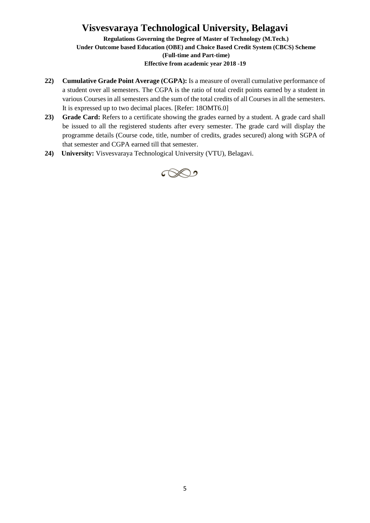**Regulations Governing the Degree of Master of Technology (M.Tech.) Under Outcome based Education (OBE) and Choice Based Credit System (CBCS) Scheme (Full-time and Part-time) Effective from academic year 2018 -19**

- **22) Cumulative Grade Point Average (CGPA):** Is a measure of overall cumulative performance of a student over all semesters. The CGPA is the ratio of total credit points earned by a student in various Courses in all semesters and the sum of the total credits of all Courses in all the semesters. It is expressed up to two decimal places. [Refer: 18OMT6.0]
- **23) Grade Card:** Refers to a certificate showing the grades earned by a student. A grade card shall be issued to all the registered students after every semester. The grade card will display the programme details (Course code, title, number of credits, grades secured) along with SGPA of that semester and CGPA earned till that semester.
- **24) University:** Visvesvaraya Technological University (VTU), Belagavi.

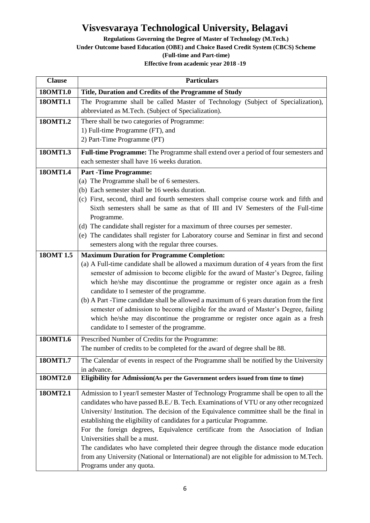**Regulations Governing the Degree of Master of Technology (M.Tech.)**

**Under Outcome based Education (OBE) and Choice Based Credit System (CBCS) Scheme**

**(Full-time and Part-time)**

| <b>Clause</b>         | <b>Particulars</b>                                                                                                                                                                                                                                                                                                                                                                                                                                                                                                                                                                                                                                                                                                                                                                                                                                                                                                                                                                                                  |
|-----------------------|---------------------------------------------------------------------------------------------------------------------------------------------------------------------------------------------------------------------------------------------------------------------------------------------------------------------------------------------------------------------------------------------------------------------------------------------------------------------------------------------------------------------------------------------------------------------------------------------------------------------------------------------------------------------------------------------------------------------------------------------------------------------------------------------------------------------------------------------------------------------------------------------------------------------------------------------------------------------------------------------------------------------|
| 180MT1.0              | Title, Duration and Credits of the Programme of Study                                                                                                                                                                                                                                                                                                                                                                                                                                                                                                                                                                                                                                                                                                                                                                                                                                                                                                                                                               |
| 180MT1.1              | The Programme shall be called Master of Technology (Subject of Specialization),<br>abbreviated as M.Tech. (Subject of Specialization).                                                                                                                                                                                                                                                                                                                                                                                                                                                                                                                                                                                                                                                                                                                                                                                                                                                                              |
| 180MT1.2              | There shall be two categories of Programme:<br>1) Full-time Programme (FT), and<br>2) Part-Time Programme (PT)                                                                                                                                                                                                                                                                                                                                                                                                                                                                                                                                                                                                                                                                                                                                                                                                                                                                                                      |
| 180MT1.3              | Full-time Programme: The Programme shall extend over a period of four semesters and<br>each semester shall have 16 weeks duration.                                                                                                                                                                                                                                                                                                                                                                                                                                                                                                                                                                                                                                                                                                                                                                                                                                                                                  |
| 180MT1.4<br>180MT 1.5 | <b>Part -Time Programme:</b><br>(a) The Programme shall be of 6 semesters.<br>(b) Each semester shall be 16 weeks duration.<br>(c) First, second, third and fourth semesters shall comprise course work and fifth and<br>Sixth semesters shall be same as that of III and IV Semesters of the Full-time<br>Programme.<br>(d) The candidate shall register for a maximum of three courses per semester.<br>(e) The candidates shall register for Laboratory course and Seminar in first and second<br>semesters along with the regular three courses.<br><b>Maximum Duration for Programme Completion:</b><br>(a) A Full-time candidate shall be allowed a maximum duration of 4 years from the first<br>semester of admission to become eligible for the award of Master's Degree, failing<br>which he/she may discontinue the programme or register once again as a fresh<br>candidate to I semester of the programme.<br>(b) A Part -Time candidate shall be allowed a maximum of 6 years duration from the first |
| 180MT1.6              | semester of admission to become eligible for the award of Master's Degree, failing<br>which he/she may discontinue the programme or register once again as a fresh<br>candidate to I semester of the programme.<br>Prescribed Number of Credits for the Programme:<br>The number of credits to be completed for the award of degree shall be 88.                                                                                                                                                                                                                                                                                                                                                                                                                                                                                                                                                                                                                                                                    |
| 180MT1.7              | The Calendar of events in respect of the Programme shall be notified by the University<br>in advance.                                                                                                                                                                                                                                                                                                                                                                                                                                                                                                                                                                                                                                                                                                                                                                                                                                                                                                               |
| 180MT2.0              | Eligibility for Admission(As per the Government orders issued from time to time)                                                                                                                                                                                                                                                                                                                                                                                                                                                                                                                                                                                                                                                                                                                                                                                                                                                                                                                                    |
| 180MT2.1              | Admission to I year/I semester Master of Technology Programme shall be open to all the<br>candidates who have passed B.E./ B. Tech. Examinations of VTU or any other recognized<br>University/ Institution. The decision of the Equivalence committee shall be the final in<br>establishing the eligibility of candidates for a particular Programme.<br>For the foreign degrees, Equivalence certificate from the Association of Indian<br>Universities shall be a must.<br>The candidates who have completed their degree through the distance mode education<br>from any University (National or International) are not eligible for admission to M.Tech.<br>Programs under any quota.                                                                                                                                                                                                                                                                                                                           |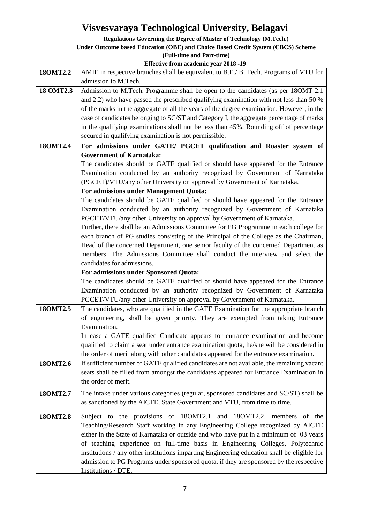**Regulations Governing the Degree of Master of Technology (M.Tech.)**

**Under Outcome based Education (OBE) and Choice Based Credit System (CBCS) Scheme**

**(Full-time and Part-time)**

| 180MT2.2  | AMIE in respective branches shall be equivalent to B.E./ B. Tech. Programs of VTU for       |
|-----------|---------------------------------------------------------------------------------------------|
|           | admission to M.Tech.                                                                        |
| 18 OMT2.3 | Admission to M.Tech. Programme shall be open to the candidates (as per 180MT 2.1)           |
|           | and 2.2) who have passed the prescribed qualifying examination with not less than 50 %      |
|           | of the marks in the aggregate of all the years of the degree examination. However, in the   |
|           | case of candidates belonging to SC/ST and Category I, the aggregate percentage of marks     |
|           | in the qualifying examinations shall not be less than 45%. Rounding off of percentage       |
|           | secured in qualifying examination is not permissible.                                       |
| 180MT2.4  | For admissions under GATE/ PGCET qualification and Roaster system of                        |
|           | <b>Government of Karnataka:</b>                                                             |
|           | The candidates should be GATE qualified or should have appeared for the Entrance            |
|           | Examination conducted by an authority recognized by Government of Karnataka                 |
|           | (PGCET)/VTU/any other University on approval by Government of Karnataka.                    |
|           | For admissions under Management Quota:                                                      |
|           | The candidates should be GATE qualified or should have appeared for the Entrance            |
|           | Examination conducted by an authority recognized by Government of Karnataka                 |
|           | PGCET/VTU/any other University on approval by Government of Karnataka.                      |
|           | Further, there shall be an Admissions Committee for PG Programme in each college for        |
|           | each branch of PG studies consisting of the Principal of the College as the Chairman,       |
|           | Head of the concerned Department, one senior faculty of the concerned Department as         |
|           | members. The Admissions Committee shall conduct the interview and select the                |
|           | candidates for admissions.                                                                  |
|           | For admissions under Sponsored Quota:                                                       |
|           | The candidates should be GATE qualified or should have appeared for the Entrance            |
|           | Examination conducted by an authority recognized by Government of Karnataka                 |
|           | PGCET/VTU/any other University on approval by Government of Karnataka.                      |
| 180MT2.5  | The candidates, who are qualified in the GATE Examination for the appropriate branch        |
|           | of engineering, shall be given priority. They are exempted from taking Entrance             |
|           | Examination.                                                                                |
|           | In case a GATE qualified Candidate appears for entrance examination and become              |
|           | qualified to claim a seat under entrance examination quota, he/she will be considered in    |
|           | the order of merit along with other candidates appeared for the entrance examination.       |
| 180MT2.6  | If sufficient number of GATE qualified candidates are not available, the remaining vacant   |
|           | seats shall be filled from amongst the candidates appeared for Entrance Examination in      |
|           | the order of merit.                                                                         |
| 180MT2.7  | The intake under various categories (regular, sponsored candidates and SC/ST) shall be      |
|           | as sanctioned by the AICTE, State Government and VTU, from time to time.                    |
| 180MT2.8  | Subject to the provisions of 18OMT2.1 and 18OMT2.2, members of the                          |
|           | Teaching/Research Staff working in any Engineering College recognized by AICTE              |
|           | either in the State of Karnataka or outside and who have put in a minimum of 03 years       |
|           | of teaching experience on full-time basis in Engineering Colleges, Polytechnic              |
|           | institutions / any other institutions imparting Engineering education shall be eligible for |
|           | admission to PG Programs under sponsored quota, if they are sponsored by the respective     |
|           | Institutions / DTE.                                                                         |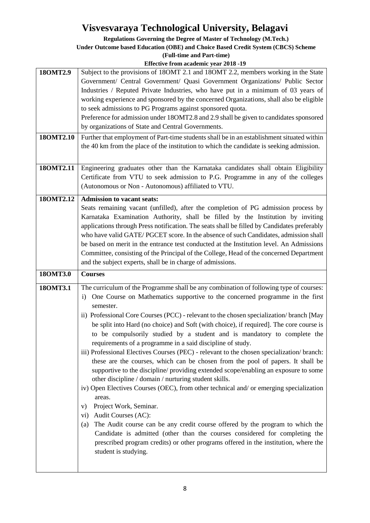**Regulations Governing the Degree of Master of Technology (M.Tech.)**

#### **Under Outcome based Education (OBE) and Choice Based Credit System (CBCS) Scheme**

**(Full-time and Part-time)**

| 180MT2.9  | Subject to the provisions of 180MT 2.1 and 180MT 2.2, members working in the State<br>Government/ Central Government/ Quasi Government Organizations/ Public Sector<br>Industries / Reputed Private Industries, who have put in a minimum of 03 years of<br>working experience and sponsored by the concerned Organizations, shall also be eligible<br>to seek admissions to PG Programs against sponsored quota.<br>Preference for admission under 18OMT2.8 and 2.9 shall be given to candidates sponsored                                                                                                                                                                                                                                                                                                                                                                                                                                                                                                                                                                                                                                                                                                                                                                                                            |
|-----------|------------------------------------------------------------------------------------------------------------------------------------------------------------------------------------------------------------------------------------------------------------------------------------------------------------------------------------------------------------------------------------------------------------------------------------------------------------------------------------------------------------------------------------------------------------------------------------------------------------------------------------------------------------------------------------------------------------------------------------------------------------------------------------------------------------------------------------------------------------------------------------------------------------------------------------------------------------------------------------------------------------------------------------------------------------------------------------------------------------------------------------------------------------------------------------------------------------------------------------------------------------------------------------------------------------------------|
|           | by organizations of State and Central Governments.                                                                                                                                                                                                                                                                                                                                                                                                                                                                                                                                                                                                                                                                                                                                                                                                                                                                                                                                                                                                                                                                                                                                                                                                                                                                     |
| 180MT2.10 | Further that employment of Part-time students shall be in an establishment situated within<br>the 40 km from the place of the institution to which the candidate is seeking admission.                                                                                                                                                                                                                                                                                                                                                                                                                                                                                                                                                                                                                                                                                                                                                                                                                                                                                                                                                                                                                                                                                                                                 |
| 180MT2.11 | Engineering graduates other than the Karnataka candidates shall obtain Eligibility<br>Certificate from VTU to seek admission to P.G. Programme in any of the colleges<br>(Autonomous or Non - Autonomous) affiliated to VTU.                                                                                                                                                                                                                                                                                                                                                                                                                                                                                                                                                                                                                                                                                                                                                                                                                                                                                                                                                                                                                                                                                           |
| 180MT2.12 | <b>Admission to vacant seats:</b><br>Seats remaining vacant (unfilled), after the completion of PG admission process by<br>Karnataka Examination Authority, shall be filled by the Institution by inviting<br>applications through Press notification. The seats shall be filled by Candidates preferably<br>who have valid GATE/PGCET score. In the absence of such Candidates, admission shall<br>be based on merit in the entrance test conducted at the Institution level. An Admissions<br>Committee, consisting of the Principal of the College, Head of the concerned Department<br>and the subject experts, shall be in charge of admissions.                                                                                                                                                                                                                                                                                                                                                                                                                                                                                                                                                                                                                                                                  |
| 180MT3.0  | <b>Courses</b>                                                                                                                                                                                                                                                                                                                                                                                                                                                                                                                                                                                                                                                                                                                                                                                                                                                                                                                                                                                                                                                                                                                                                                                                                                                                                                         |
| 180MT3.1  | The curriculum of the Programme shall be any combination of following type of courses:<br>i) One Course on Mathematics supportive to the concerned programme in the first<br>semester.<br>ii) Professional Core Courses (PCC) - relevant to the chosen specialization/ branch [May<br>be split into Hard (no choice) and Soft (with choice), if required]. The core course is<br>to be compulsorily studied by a student and is mandatory to complete the<br>requirements of a programme in a said discipline of study.<br>iii) Professional Electives Courses (PEC) - relevant to the chosen specialization/ branch:<br>these are the courses, which can be chosen from the pool of papers. It shall be<br>supportive to the discipline/ providing extended scope/enabling an exposure to some<br>other discipline / domain / nurturing student skills.<br>iv) Open Electives Courses (OEC), from other technical and/ or emerging specialization<br>areas.<br>Project Work, Seminar.<br>V)<br>Audit Courses (AC):<br>$\rm vi)$<br>The Audit course can be any credit course offered by the program to which the<br>(a)<br>Candidate is admitted (other than the courses considered for completing the<br>prescribed program credits) or other programs offered in the institution, where the<br>student is studying. |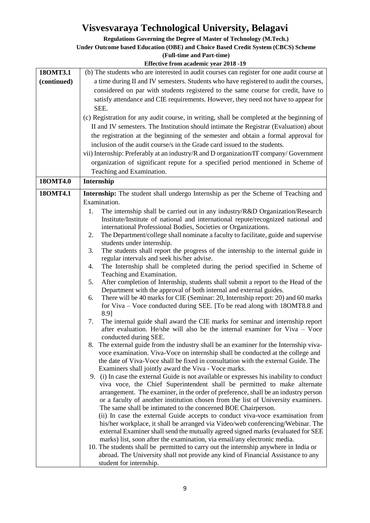**Regulations Governing the Degree of Master of Technology (M.Tech.)**

#### **Under Outcome based Education (OBE) and Choice Based Credit System (CBCS) Scheme**

**(Full-time and Part-time)**

| 180MT3.1    | (b) The students who are interested in audit courses can register for one audit course at                                                                    |
|-------------|--------------------------------------------------------------------------------------------------------------------------------------------------------------|
| (continued) | a time during II and IV semesters. Students who have registered to audit the courses,                                                                        |
|             | considered on par with students registered to the same course for credit, have to                                                                            |
|             | satisfy attendance and CIE requirements. However, they need not have to appear for                                                                           |
|             | SEE.                                                                                                                                                         |
|             |                                                                                                                                                              |
|             | (c) Registration for any audit course, in writing, shall be completed at the beginning of                                                                    |
|             | II and IV semesters. The Institution should intimate the Registrar (Evaluation) about                                                                        |
|             | the registration at the beginning of the semester and obtain a formal approval for                                                                           |
|             | inclusion of the audit course/s in the Grade card issued to the students.                                                                                    |
|             | vii) Internship: Preferably at an industry/R and D organization/IT company/Government                                                                        |
|             | organization of significant repute for a specified period mentioned in Scheme of                                                                             |
|             | Teaching and Examination.                                                                                                                                    |
| 180MT4.0    | Internship                                                                                                                                                   |
|             |                                                                                                                                                              |
| 180MT4.1    | Internship: The student shall undergo Internship as per the Scheme of Teaching and                                                                           |
|             | Examination.                                                                                                                                                 |
|             | The internship shall be carried out in any industry/R&D Organization/Research<br>1.                                                                          |
|             | Institute/Institute of national and international repute/recognized national and                                                                             |
|             | international Professional Bodies, Societies or Organizations.                                                                                               |
|             | The Department/college shall nominate a faculty to facilitate, guide and supervise<br>2.                                                                     |
|             | students under internship.                                                                                                                                   |
|             | The students shall report the progress of the internship to the internal guide in<br>3.                                                                      |
|             | regular intervals and seek his/her advise.                                                                                                                   |
|             | The Internship shall be completed during the period specified in Scheme of<br>4.                                                                             |
|             | Teaching and Examination.                                                                                                                                    |
|             | After completion of Internship, students shall submit a report to the Head of the<br>5.                                                                      |
|             | Department with the approval of both internal and external guides.<br>There will be 40 marks for CIE (Seminar: 20, Internship report: 20) and 60 marks<br>6. |
|             | for Viva – Voce conducted during SEE. [To be read along with 18OMT8.8 and                                                                                    |
|             | 8.9]                                                                                                                                                         |
|             | The internal guide shall award the CIE marks for seminar and internship report<br>7.                                                                         |
|             | after evaluation. He/she will also be the internal examiner for Viva – Voce                                                                                  |
|             | conducted during SEE.                                                                                                                                        |
|             | The external guide from the industry shall be an examiner for the Internship viva-<br>8.                                                                     |
|             | voce examination. Viva-Voce on internship shall be conducted at the college and                                                                              |
|             | the date of Viva-Voce shall be fixed in consultation with the external Guide. The                                                                            |
|             | Examiners shall jointly award the Viva - Voce marks.                                                                                                         |
|             | 9. (i) In case the external Guide is not available or expresses his inability to conduct                                                                     |
|             | viva voce, the Chief Superintendent shall be permitted to make alternate                                                                                     |
|             | arrangement. The examiner, in the order of preference, shall be an industry person                                                                           |
|             | or a faculty of another institution chosen from the list of University examiners.                                                                            |
|             | The same shall be intimated to the concerned BOE Chairperson.                                                                                                |
|             | (ii) In case the external Guide accepts to conduct viva-voce examination from                                                                                |
|             | his/her workplace, it shall be arranged via Video/web conferencing/Webinar. The                                                                              |
|             | external Examiner shall send the mutually agreed signed marks (evaluated for SEE                                                                             |
|             | marks) list, soon after the examination, via email/any electronic media.                                                                                     |
|             | 10. The students shall be permitted to carry out the internship anywhere in India or                                                                         |
|             | abroad. The University shall not provide any kind of Financial Assistance to any                                                                             |
|             | student for internship.                                                                                                                                      |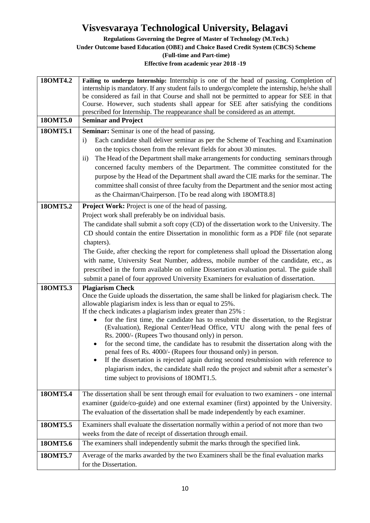**Regulations Governing the Degree of Master of Technology (M.Tech.)**

**Under Outcome based Education (OBE) and Choice Based Credit System (CBCS) Scheme**

**(Full-time and Part-time)**

| 180MT4.2<br>180MT5.0<br>180MT5.1 | Failing to undergo Internship: Internship is one of the head of passing. Completion of<br>internship is mandatory. If any student fails to undergo/complete the internship, he/she shall<br>be considered as fail in that Course and shall not be permitted to appear for SEE in that<br>Course. However, such students shall appear for SEE after satisfying the conditions<br>prescribed for Internship. The reappearance shall be considered as an attempt.<br><b>Seminar and Project</b><br>Seminar: Seminar is one of the head of passing.                                                                                                                                                                                                                                                                                                                              |
|----------------------------------|------------------------------------------------------------------------------------------------------------------------------------------------------------------------------------------------------------------------------------------------------------------------------------------------------------------------------------------------------------------------------------------------------------------------------------------------------------------------------------------------------------------------------------------------------------------------------------------------------------------------------------------------------------------------------------------------------------------------------------------------------------------------------------------------------------------------------------------------------------------------------|
|                                  | Each candidate shall deliver seminar as per the Scheme of Teaching and Examination<br>$\mathbf{i}$<br>on the topics chosen from the relevant fields for about 30 minutes.                                                                                                                                                                                                                                                                                                                                                                                                                                                                                                                                                                                                                                                                                                    |
|                                  | The Head of the Department shall make arrangements for conducting seminars through<br>$\rm ii)$<br>concerned faculty members of the Department. The committee constituted for the<br>purpose by the Head of the Department shall award the CIE marks for the seminar. The<br>committee shall consist of three faculty from the Department and the senior most acting<br>as the Chairman/Chairperson. [To be read along with 18OMT8.8]                                                                                                                                                                                                                                                                                                                                                                                                                                        |
| 180MT5.2                         | <b>Project Work:</b> Project is one of the head of passing.                                                                                                                                                                                                                                                                                                                                                                                                                                                                                                                                                                                                                                                                                                                                                                                                                  |
|                                  | Project work shall preferably be on individual basis.<br>The candidate shall submit a soft copy (CD) of the dissertation work to the University. The<br>CD should contain the entire Dissertation in monolithic form as a PDF file (not separate<br>chapters).                                                                                                                                                                                                                                                                                                                                                                                                                                                                                                                                                                                                               |
|                                  | The Guide, after checking the report for completeness shall upload the Dissertation along<br>with name, University Seat Number, address, mobile number of the candidate, etc., as<br>prescribed in the form available on online Dissertation evaluation portal. The guide shall<br>submit a panel of four approved University Examiners for evaluation of dissertation.                                                                                                                                                                                                                                                                                                                                                                                                                                                                                                      |
| 180MT5.3                         | <b>Plagiarism Check</b><br>Once the Guide uploads the dissertation, the same shall be linked for plagiarism check. The<br>allowable plagiarism index is less than or equal to 25%.<br>If the check indicates a plagiarism index greater than 25% :<br>for the first time, the candidate has to resubmit the dissertation, to the Registrar<br>$\bullet$<br>(Evaluation), Regional Center/Head Office, VTU along with the penal fees of<br>Rs. 2000/- (Rupees Two thousand only) in person.<br>for the second time, the candidate has to resubmit the dissertation along with the<br>penal fees of Rs. 4000/- (Rupees four thousand only) in person.<br>If the dissertation is rejected again during second resubmission with reference to<br>plagiarism index, the candidate shall redo the project and submit after a semester's<br>time subject to provisions of 180MT1.5. |
| 180MT5.4                         | The dissertation shall be sent through email for evaluation to two examiners - one internal<br>examiner (guide/co-guide) and one external examiner (first) appointed by the University.<br>The evaluation of the dissertation shall be made independently by each examiner.                                                                                                                                                                                                                                                                                                                                                                                                                                                                                                                                                                                                  |
| 180MT5.5                         | Examiners shall evaluate the dissertation normally within a period of not more than two<br>weeks from the date of receipt of dissertation through email.                                                                                                                                                                                                                                                                                                                                                                                                                                                                                                                                                                                                                                                                                                                     |
| 180MT5.6                         | The examiners shall independently submit the marks through the specified link.                                                                                                                                                                                                                                                                                                                                                                                                                                                                                                                                                                                                                                                                                                                                                                                               |
| 180MT5.7                         | Average of the marks awarded by the two Examiners shall be the final evaluation marks<br>for the Dissertation.                                                                                                                                                                                                                                                                                                                                                                                                                                                                                                                                                                                                                                                                                                                                                               |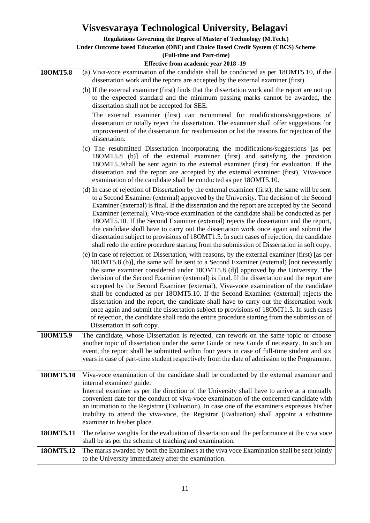**Regulations Governing the Degree of Master of Technology (M.Tech.)**

|           | <b>Under Outcome based Education (OBE) and Choice Based Credit System (CBCS) Scheme</b>                                                                                                                                                                                                                                                                                                                                                                                                                                                                                                                                                                                                                                                                                                                                                                                      |
|-----------|------------------------------------------------------------------------------------------------------------------------------------------------------------------------------------------------------------------------------------------------------------------------------------------------------------------------------------------------------------------------------------------------------------------------------------------------------------------------------------------------------------------------------------------------------------------------------------------------------------------------------------------------------------------------------------------------------------------------------------------------------------------------------------------------------------------------------------------------------------------------------|
|           | (Full-time and Part-time)                                                                                                                                                                                                                                                                                                                                                                                                                                                                                                                                                                                                                                                                                                                                                                                                                                                    |
|           | Effective from academic year 2018 -19                                                                                                                                                                                                                                                                                                                                                                                                                                                                                                                                                                                                                                                                                                                                                                                                                                        |
| 180MT5.8  | (a) Viva-voce examination of the candidate shall be conducted as per 18OMT5.10, if the<br>dissertation work and the reports are accepted by the external examiner (first).                                                                                                                                                                                                                                                                                                                                                                                                                                                                                                                                                                                                                                                                                                   |
|           | (b) If the external examiner (first) finds that the dissertation work and the report are not up<br>to the expected standard and the minimum passing marks cannot be awarded, the<br>dissertation shall not be accepted for SEE.<br>The external examiner (first) can recommend for modifications/suggestions of                                                                                                                                                                                                                                                                                                                                                                                                                                                                                                                                                              |
|           | dissertation or totally reject the dissertation. The examiner shall offer suggestions for<br>improvement of the dissertation for resubmission or list the reasons for rejection of the<br>dissertation.                                                                                                                                                                                                                                                                                                                                                                                                                                                                                                                                                                                                                                                                      |
|           | (c) The resubmitted Dissertation incorporating the modifications/suggestions [as per<br>18OMT5.8 (b)] of the external examiner (first) and satisfying the provision<br>18OMT5.3shall be sent again to the external examiner (first) for evaluation. If the<br>dissertation and the report are accepted by the external examiner (first), Viva-voce<br>examination of the candidate shall be conducted as per 180MT5.10.                                                                                                                                                                                                                                                                                                                                                                                                                                                      |
|           | (d) In case of rejection of Dissertation by the external examiner (first), the same will be sent<br>to a Second Examiner (external) approved by the University. The decision of the Second<br>Examiner (external) is final. If the dissertation and the report are accepted by the Second<br>Examiner (external), Viva-voce examination of the candidate shall be conducted as per<br>180MT5.10. If the Second Examiner (external) rejects the dissertation and the report,<br>the candidate shall have to carry out the dissertation work once again and submit the<br>dissertation subject to provisions of 18OMT1.5. In such cases of rejection, the candidate<br>shall redo the entire procedure starting from the submission of Dissertation in soft copy.                                                                                                              |
|           | (e) In case of rejection of Dissertation, with reasons, by the external examiner (first) [as per<br>180MT5.8 (b)], the same will be sent to a Second Examiner (external) [not necessarily<br>the same examiner considered under 18OMT5.8 (d)] approved by the University. The<br>decision of the Second Examiner (external) is final. If the dissertation and the report are<br>accepted by the Second Examiner (external), Viva-voce examination of the candidate<br>shall be conducted as per 180MT5.10. If the Second Examiner (external) rejects the<br>dissertation and the report, the candidate shall have to carry out the dissertation work<br>once again and submit the dissertation subject to provisions of 180MT1.5. In such cases<br>of rejection, the candidate shall redo the entire procedure starting from the submission of<br>Dissertation in soft copy. |
| 180MT5.9  | The candidate, whose Dissertation is rejected, can rework on the same topic or choose<br>another topic of dissertation under the same Guide or new Guide if necessary. In such an<br>event, the report shall be submitted within four years in case of full-time student and six<br>years in case of part-time student respectively from the date of admission to the Programme.                                                                                                                                                                                                                                                                                                                                                                                                                                                                                             |
| 180MT5.10 | Viva-voce examination of the candidate shall be conducted by the external examiner and<br>internal examiner/ guide.<br>Internal examiner as per the direction of the University shall have to arrive at a mutually<br>convenient date for the conduct of viva-voce examination of the concerned candidate with<br>an intimation to the Registrar (Evaluation). In case one of the examiners expresses his/her<br>inability to attend the viva-voce, the Registrar (Evaluation) shall appoint a substitute<br>examiner in his/her place.                                                                                                                                                                                                                                                                                                                                      |
| 180MT5.11 | The relative weights for the evaluation of dissertation and the performance at the viva voce<br>shall be as per the scheme of teaching and examination.                                                                                                                                                                                                                                                                                                                                                                                                                                                                                                                                                                                                                                                                                                                      |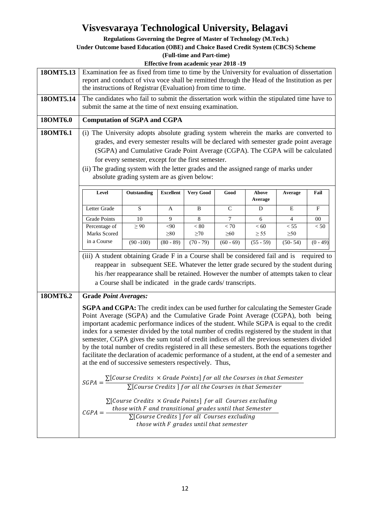**Regulations Governing the Degree of Master of Technology (M.Tech.)**

**Under Outcome based Education (OBE) and Choice Based Credit System (CBCS) Scheme**

| <b>Effective from academic year 2018 -19</b>                                                                                                                                                                                                                                                                                                                                                                                                                                                                                                                                                                                                                                                                                                                                                                                                                                                                                                                                                                                                                                                                                                                                                                                    |                                                                                                    |                |                     |                   |                   |                                                                                  |                                                                                                                                                                                                                                                                                                    |  |  |  |  |
|---------------------------------------------------------------------------------------------------------------------------------------------------------------------------------------------------------------------------------------------------------------------------------------------------------------------------------------------------------------------------------------------------------------------------------------------------------------------------------------------------------------------------------------------------------------------------------------------------------------------------------------------------------------------------------------------------------------------------------------------------------------------------------------------------------------------------------------------------------------------------------------------------------------------------------------------------------------------------------------------------------------------------------------------------------------------------------------------------------------------------------------------------------------------------------------------------------------------------------|----------------------------------------------------------------------------------------------------|----------------|---------------------|-------------------|-------------------|----------------------------------------------------------------------------------|----------------------------------------------------------------------------------------------------------------------------------------------------------------------------------------------------------------------------------------------------------------------------------------------------|--|--|--|--|
| Examination fee as fixed from time to time by the University for evaluation of dissertation<br>report and conduct of viva voce shall be remitted through the Head of the Institution as per                                                                                                                                                                                                                                                                                                                                                                                                                                                                                                                                                                                                                                                                                                                                                                                                                                                                                                                                                                                                                                     |                                                                                                    |                |                     |                   |                   |                                                                                  |                                                                                                                                                                                                                                                                                                    |  |  |  |  |
| the instructions of Registrar (Evaluation) from time to time.                                                                                                                                                                                                                                                                                                                                                                                                                                                                                                                                                                                                                                                                                                                                                                                                                                                                                                                                                                                                                                                                                                                                                                   |                                                                                                    |                |                     |                   |                   |                                                                                  |                                                                                                                                                                                                                                                                                                    |  |  |  |  |
| The candidates who fail to submit the dissertation work within the stipulated time have to<br>submit the same at the time of next ensuing examination.                                                                                                                                                                                                                                                                                                                                                                                                                                                                                                                                                                                                                                                                                                                                                                                                                                                                                                                                                                                                                                                                          |                                                                                                    |                |                     |                   |                   |                                                                                  |                                                                                                                                                                                                                                                                                                    |  |  |  |  |
|                                                                                                                                                                                                                                                                                                                                                                                                                                                                                                                                                                                                                                                                                                                                                                                                                                                                                                                                                                                                                                                                                                                                                                                                                                 | <b>Computation of SGPA and CGPA</b>                                                                |                |                     |                   |                   |                                                                                  |                                                                                                                                                                                                                                                                                                    |  |  |  |  |
| (i) The University adopts absolute grading system wherein the marks are converted to<br>grades, and every semester results will be declared with semester grade point average<br>(SGPA) and Cumulative Grade Point Average (CGPA). The CGPA will be calculated<br>for every semester, except for the first semester.<br>(ii) The grading system with the letter grades and the assigned range of marks under<br>absolute grading system are as given below:                                                                                                                                                                                                                                                                                                                                                                                                                                                                                                                                                                                                                                                                                                                                                                     |                                                                                                    |                |                     |                   |                   |                                                                                  |                                                                                                                                                                                                                                                                                                    |  |  |  |  |
| Level                                                                                                                                                                                                                                                                                                                                                                                                                                                                                                                                                                                                                                                                                                                                                                                                                                                                                                                                                                                                                                                                                                                                                                                                                           | Outstanding<br><b>Very Good</b><br><b>Excellent</b><br>Good<br>Above<br>Fail<br>Average<br>Average |                |                     |                   |                   |                                                                                  |                                                                                                                                                                                                                                                                                                    |  |  |  |  |
|                                                                                                                                                                                                                                                                                                                                                                                                                                                                                                                                                                                                                                                                                                                                                                                                                                                                                                                                                                                                                                                                                                                                                                                                                                 |                                                                                                    | A              | B                   | C                 | D                 | E                                                                                | F                                                                                                                                                                                                                                                                                                  |  |  |  |  |
| <b>Grade Points</b>                                                                                                                                                                                                                                                                                                                                                                                                                                                                                                                                                                                                                                                                                                                                                                                                                                                                                                                                                                                                                                                                                                                                                                                                             | 10                                                                                                 | 9              | 8                   | 7                 | 6                 | 4                                                                                | $00\,$                                                                                                                                                                                                                                                                                             |  |  |  |  |
|                                                                                                                                                                                                                                                                                                                                                                                                                                                                                                                                                                                                                                                                                                                                                                                                                                                                                                                                                                                                                                                                                                                                                                                                                                 |                                                                                                    |                |                     |                   |                   |                                                                                  | < 50                                                                                                                                                                                                                                                                                               |  |  |  |  |
| in a Course                                                                                                                                                                                                                                                                                                                                                                                                                                                                                                                                                                                                                                                                                                                                                                                                                                                                                                                                                                                                                                                                                                                                                                                                                     | $(90 - 100)$                                                                                       | $(80 - 89)$    | $(70 - 79)$         | $(60 - 69)$       | $(55 - 59)$       | $(50 - 54)$                                                                      | $(0 - 49)$                                                                                                                                                                                                                                                                                         |  |  |  |  |
|                                                                                                                                                                                                                                                                                                                                                                                                                                                                                                                                                                                                                                                                                                                                                                                                                                                                                                                                                                                                                                                                                                                                                                                                                                 |                                                                                                    |                |                     |                   |                   |                                                                                  |                                                                                                                                                                                                                                                                                                    |  |  |  |  |
|                                                                                                                                                                                                                                                                                                                                                                                                                                                                                                                                                                                                                                                                                                                                                                                                                                                                                                                                                                                                                                                                                                                                                                                                                                 |                                                                                                    |                |                     |                   |                   |                                                                                  |                                                                                                                                                                                                                                                                                                    |  |  |  |  |
| <b>Grade Point Averages:</b><br><b>SGPA and CGPA:</b> The credit index can be used further for calculating the Semester Grade<br>Point Average (SGPA) and the Cumulative Grade Point Average (CGPA), both being<br>important academic performance indices of the student. While SGPA is equal to the credit<br>index for a semester divided by the total number of credits registered by the student in that<br>semester, CGPA gives the sum total of credit indices of all the previous semesters divided<br>by the total number of credits registered in all these semesters. Both the equations together<br>facilitate the declaration of academic performance of a student, at the end of a semester and<br>at the end of successive semesters respectively. Thus,<br>$SGPA = \frac{\sum [Course\ Credits \times Grade\ Points] for all\ the\ Courses\ in\ that\ Semester}{\sum_{i=1}^{n} S_i}$<br>$\Sigma$ [Course Credits] for all the Courses in that Semester<br>$\Sigma$ [Course Credits $\times$ Grade Points] for all Courses excluding<br>those with F and transitional grades until that Semester<br>$CGPA = -$<br>$\Sigma$ [Course Credits ] for all Courses excluding<br>those with F grades until that semester |                                                                                                    |                |                     |                   |                   |                                                                                  |                                                                                                                                                                                                                                                                                                    |  |  |  |  |
|                                                                                                                                                                                                                                                                                                                                                                                                                                                                                                                                                                                                                                                                                                                                                                                                                                                                                                                                                                                                                                                                                                                                                                                                                                 | Letter Grade<br>Percentage of<br>Marks Scored                                                      | S<br>$\geq 90$ | $<$ 90<br>$\geq 80$ | < 80<br>$\geq 70$ | < 70<br>$\geq 60$ | < 60<br>$\geq$ 55<br>a Course shall be indicated in the grade cards/transcripts. | $<55\,$<br>$\geq 50$<br>(iii) A student obtaining Grade F in a Course shall be considered fail and is required to<br>reappear in subsequent SEE. Whatever the letter grade secured by the student during<br>his /her reappearance shall be retained. However the number of attempts taken to clear |  |  |  |  |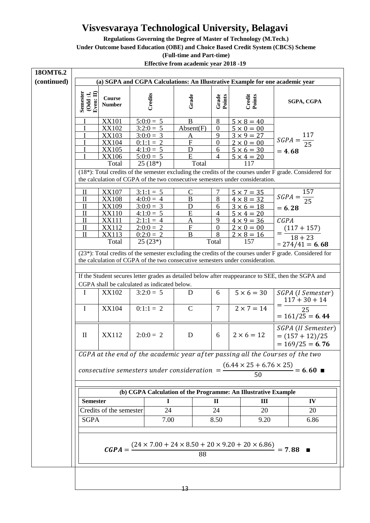**Regulations Governing the Degree of Master of Technology (M.Tech.)**

**Under Outcome based Education (OBE) and Choice Based Credit System (CBCS) Scheme**

**(Full-time and Part-time)**

| 180MT6.2    |                                                                                    |                                              |  |                  |                           |                 |                                                                                                                                                                                                                                                                                                 |                   |                                                           |  |
|-------------|------------------------------------------------------------------------------------|----------------------------------------------|--|------------------|---------------------------|-----------------|-------------------------------------------------------------------------------------------------------------------------------------------------------------------------------------------------------------------------------------------------------------------------------------------------|-------------------|-----------------------------------------------------------|--|
| (continued) | (a) SGPA and CGPA Calculations: An Illustrative Example for one academic year      |                                              |  |                  |                           |                 |                                                                                                                                                                                                                                                                                                 |                   |                                                           |  |
|             | Semester<br>$\begin{array}{c} \textbf{(Odd iJ)} \\ \textbf{Even: II)} \end{array}$ | Course<br><b>Number</b>                      |  | Credits          | Grade                     | Grade<br>Points | Credit<br>Points                                                                                                                                                                                                                                                                                |                   | SGPA, CGPA                                                |  |
|             |                                                                                    | <b>XX101</b>                                 |  | $5:0:0 = 5$      | B                         | 8               | $5 \times 8 = 40$                                                                                                                                                                                                                                                                               |                   |                                                           |  |
|             |                                                                                    | <b>XX102</b>                                 |  | $3:2:0=5$        | Absent(F)                 | $\overline{0}$  | $5 \times 0 = 00$                                                                                                                                                                                                                                                                               |                   |                                                           |  |
|             |                                                                                    | <b>XX103</b>                                 |  | $3:0:0 = 3$      | <u>A</u>                  | 9               | $3 \times 9 = 27$                                                                                                                                                                                                                                                                               |                   | $SGPA = \frac{117}{25}$                                   |  |
|             |                                                                                    | <b>XX104</b>                                 |  | $0:1:1 \equiv 2$ | $\boldsymbol{\mathrm{F}}$ | $\overline{0}$  | $2 \times 0 = 00$                                                                                                                                                                                                                                                                               |                   |                                                           |  |
|             |                                                                                    | <b>XX105</b>                                 |  | $4:1:0=5$        | D                         | 6               | $5 \times 6 = 30$                                                                                                                                                                                                                                                                               | $= 4.68$          |                                                           |  |
|             |                                                                                    | <b>XX106</b>                                 |  | $5:0:0 = 5$      | E                         | $\overline{4}$  | $5 \times 4 = 20$                                                                                                                                                                                                                                                                               |                   |                                                           |  |
|             |                                                                                    | Total                                        |  | $25(18*)$        | Total                     |                 | 117                                                                                                                                                                                                                                                                                             |                   |                                                           |  |
|             |                                                                                    |                                              |  |                  |                           |                 | (18*): Total credits of the semester excluding the credits of the courses under F grade. Considered for<br>the calculation of CGPA of the two consecutive semesters under consideration.                                                                                                        |                   |                                                           |  |
|             | П                                                                                  | <b>XX107</b>                                 |  | $3:1:1 = 5$      | C                         | 7               |                                                                                                                                                                                                                                                                                                 |                   |                                                           |  |
|             | $\mathbf{I}$                                                                       | <b>XX108</b>                                 |  | $4:0:0 = 4$      | $\, {\bf B}$              | 8               | $5 \times 7 = 35$<br>$4 \times 8 = 32$                                                                                                                                                                                                                                                          |                   | $SGPA = \frac{157}{25}$                                   |  |
|             | $\mathbf{I}$                                                                       | <b>XX109</b>                                 |  | $3:0:0 = 3$      | D                         | 6               | $3 \times 6 = 18$                                                                                                                                                                                                                                                                               | $= 6.28$          |                                                           |  |
|             | $\mathbf{I}$                                                                       | <b>XX110</b>                                 |  | $4:1:0 = 5$      | E                         | $\overline{4}$  | $5 \times 4 = 20$                                                                                                                                                                                                                                                                               |                   |                                                           |  |
|             | $\mathop{\mathrm{II}}\nolimits$                                                    | <b>XX111</b>                                 |  | $2:1:1 = 4$      | A                         | 9               | $4 \times 9 = 36$                                                                                                                                                                                                                                                                               | CGPA              |                                                           |  |
|             | $\rm II$                                                                           | <b>XX112</b>                                 |  | $2:0:0 = 2$      | $\boldsymbol{F}$          | $\overline{0}$  | $2 \times 0 = 00$                                                                                                                                                                                                                                                                               |                   |                                                           |  |
|             | $\mathbf{I}$                                                                       | XX113                                        |  | $0:2:0 = 2$      | B                         | 8               | $2 \times 8 = 16$                                                                                                                                                                                                                                                                               |                   | $=\frac{(117+157)}{18+23}$                                |  |
|             |                                                                                    | Total                                        |  | $25(23*)$        |                           | Total           | 157                                                                                                                                                                                                                                                                                             |                   | $= 274/41 = 6.68$                                         |  |
|             |                                                                                    |                                              |  |                  |                           |                 | (23*): Total credits of the semester excluding the credits of the courses under F grade. Considered for<br>the calculation of CGPA of the two consecutive semesters under consideration.<br>If the Student secures letter grades as detailed below after reappearance to SEE, then the SGPA and |                   |                                                           |  |
|             |                                                                                    | CGPA shall be calculated as indicated below. |  |                  |                           |                 |                                                                                                                                                                                                                                                                                                 |                   |                                                           |  |
|             | I                                                                                  | <b>XX102</b>                                 |  | $3:2:0=5$        | D                         | 6               | $5 \times 6 = 30$                                                                                                                                                                                                                                                                               |                   | SGPA (I Semester)<br>$117 + 30 + 14$                      |  |
|             | I                                                                                  | <b>XX104</b>                                 |  | $0:1:1 = 2$      | $\mathbf C$               | $7\phantom{.0}$ | $2 \times 7 = 14$                                                                                                                                                                                                                                                                               | $=$ $\frac{1}{2}$ | $\overline{25}$<br>$= 161/25 = 6.44$                      |  |
|             | $\mathbf{I}$                                                                       | XX112                                        |  | $2:0:0 = 2$      | D                         | 6               | $2 \times 6 = 12$                                                                                                                                                                                                                                                                               |                   | SGPA (II Semester)<br>$=(157+12)/25$<br>$= 169/25 = 6.76$ |  |
|             |                                                                                    |                                              |  |                  |                           |                 | CGPA at the end of the academic year after passing all the Courses of the two                                                                                                                                                                                                                   |                   |                                                           |  |
|             |                                                                                    |                                              |  |                  |                           |                 | consecutive semesters under consideration $=$ $\frac{(6.44 \times 25 + 6.76 \times 25)}{2}$                                                                                                                                                                                                     |                   | $= 6.60$                                                  |  |
|             |                                                                                    |                                              |  |                  |                           |                 | (b) CGPA Calculation of the Programme: An Illustrative Example                                                                                                                                                                                                                                  |                   |                                                           |  |
|             | <b>Semester</b>                                                                    |                                              |  | $\bf{I}$         |                           | $\mathbf{I}$    | III                                                                                                                                                                                                                                                                                             |                   | $\mathbf{IV}$                                             |  |
|             |                                                                                    | Credits of the semester                      |  | 24               |                           | 24              | 20                                                                                                                                                                                                                                                                                              |                   | 20                                                        |  |
|             | <b>SGPA</b>                                                                        |                                              |  | 7.00             |                           | 8.50            | 9.20                                                                                                                                                                                                                                                                                            |                   | 6.86                                                      |  |
|             |                                                                                    | $CGPA =$                                     |  |                  |                           |                 | $(24 \times 7.00 + 24 \times 8.50 + 20 \times 9.20 + 20 \times 6.86)$                                                                                                                                                                                                                           |                   | $= 7.88$                                                  |  |
|             |                                                                                    |                                              |  |                  | 88                        |                 |                                                                                                                                                                                                                                                                                                 |                   |                                                           |  |
|             |                                                                                    |                                              |  |                  | 12                        |                 |                                                                                                                                                                                                                                                                                                 |                   |                                                           |  |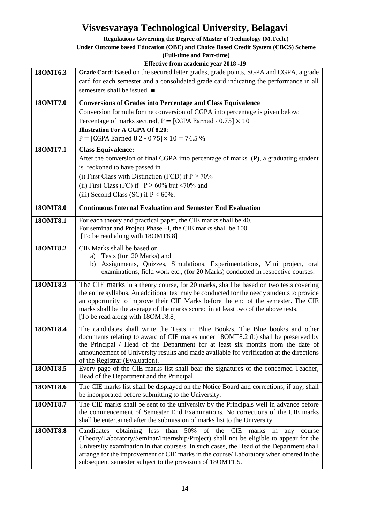**Regulations Governing the Degree of Master of Technology (M.Tech.)**

**Under Outcome based Education (OBE) and Choice Based Credit System (CBCS) Scheme**

|  | Effective from academic year 2018 -19 |  |  |
|--|---------------------------------------|--|--|
|  |                                       |  |  |

| 180MT6.3 | Grade Card: Based on the secured letter grades, grade points, SGPA and CGPA, a grade<br>card for each semester and a consolidated grade card indicating the performance in all<br>semesters shall be issued. ■                                                                                                                                                                                                                   |
|----------|----------------------------------------------------------------------------------------------------------------------------------------------------------------------------------------------------------------------------------------------------------------------------------------------------------------------------------------------------------------------------------------------------------------------------------|
| 180MT7.0 | <b>Conversions of Grades into Percentage and Class Equivalence</b><br>Conversion formula for the conversion of CGPA into percentage is given below:<br>Percentage of marks secured, $P = [CGPA\;r1] \cdot 0.75] \times 10$<br><b>Illustration For A CGPA Of 8.20:</b><br>P = [CGPA Earned 8.2 - 0.75] $\times$ 10 = 74.5 %                                                                                                       |
| 180MT7.1 | <b>Class Equivalence:</b><br>After the conversion of final CGPA into percentage of marks (P), a graduating student<br>is reckoned to have passed in<br>(i) First Class with Distinction (FCD) if $P \ge 70\%$<br>(ii) First Class (FC) if $P \ge 60\%$ but <70% and<br>(iii) Second Class (SC) if $P < 60\%$ .                                                                                                                   |
| 180MT8.0 | <b>Continuous Internal Evaluation and Semester End Evaluation</b>                                                                                                                                                                                                                                                                                                                                                                |
| 180MT8.1 | For each theory and practical paper, the CIE marks shall be 40.<br>For seminar and Project Phase -I, the CIE marks shall be 100.<br>[To be read along with 18OMT8.8]                                                                                                                                                                                                                                                             |
| 180MT8.2 | CIE Marks shall be based on<br>a) Tests (for 20 Marks) and<br>Assignments, Quizzes, Simulations, Experimentations, Mini project, oral<br>b)<br>examinations, field work etc., (for 20 Marks) conducted in respective courses.                                                                                                                                                                                                    |
| 180MT8.3 | The CIE marks in a theory course, for 20 marks, shall be based on two tests covering<br>the entire syllabus. An additional test may be conducted for the needy students to provide<br>an opportunity to improve their CIE Marks before the end of the semester. The CIE<br>marks shall be the average of the marks scored in at least two of the above tests.<br>[To be read along with 18OMT8.8]                                |
| 180MT8.4 | The candidates shall write the Tests in Blue Book/s. The Blue book/s and other<br>documents relating to award of CIE marks under 180MT8.2 (b) shall be preserved by<br>the Principal / Head of the Department for at least six months from the date of<br>announcement of University results and made available for verification at the directions<br>of the Registrar (Evaluation).                                             |
| 180MT8.5 | Every page of the CIE marks list shall bear the signatures of the concerned Teacher,<br>Head of the Department and the Principal.                                                                                                                                                                                                                                                                                                |
| 180MT8.6 | The CIE marks list shall be displayed on the Notice Board and corrections, if any, shall<br>be incorporated before submitting to the University.                                                                                                                                                                                                                                                                                 |
| 180MT8.7 | The CIE marks shall be sent to the university by the Principals well in advance before<br>the commencement of Semester End Examinations. No corrections of the CIE marks<br>shall be entertained after the submission of marks list to the University.                                                                                                                                                                           |
| 180MT8.8 | 50% of the CIE<br>Candidates<br>obtaining less than<br>marks<br>in<br>course<br>any<br>(Theory/Laboratory/Seminar/Internship/Project) shall not be eligible to appear for the<br>University examination in that course/s. In such cases, the Head of the Department shall<br>arrange for the improvement of CIE marks in the course/ Laboratory when offered in the<br>subsequent semester subject to the provision of 18OMT1.5. |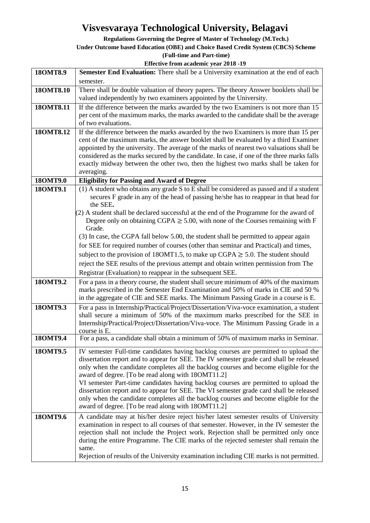**Regulations Governing the Degree of Master of Technology (M.Tech.)**

#### **Under Outcome based Education (OBE) and Choice Based Credit System (CBCS) Scheme**

**(Full-time and Part-time)**

| 180MT8.9  | Semester End Evaluation: There shall be a University examination at the end of each                                                                                        |
|-----------|----------------------------------------------------------------------------------------------------------------------------------------------------------------------------|
|           | semester.                                                                                                                                                                  |
| 180MT8.10 | There shall be double valuation of theory papers. The theory Answer booklets shall be                                                                                      |
|           | valued independently by two examiners appointed by the University.                                                                                                         |
| 180MT8.11 | If the difference between the marks awarded by the two Examiners is not more than 15                                                                                       |
|           | per cent of the maximum marks, the marks awarded to the candidate shall be the average                                                                                     |
|           | of two evaluations.                                                                                                                                                        |
| 180MT8.12 | If the difference between the marks awarded by the two Examiners is more than 15 per                                                                                       |
|           | cent of the maximum marks, the answer booklet shall be evaluated by a third Examiner                                                                                       |
|           | appointed by the university. The average of the marks of nearest two valuations shall be                                                                                   |
|           | considered as the marks secured by the candidate. In case, if one of the three marks falls                                                                                 |
|           | exactly midway between the other two, then the highest two marks shall be taken for                                                                                        |
|           | averaging.                                                                                                                                                                 |
| 180MT9.0  | <b>Eligibility for Passing and Award of Degree</b>                                                                                                                         |
| 180MT9.1  | (1) A student who obtains any grade S to E shall be considered as passed and if a student                                                                                  |
|           | secures F grade in any of the head of passing he/she has to reappear in that head for<br>the SEE.                                                                          |
|           | (2) A student shall be declared successful at the end of the Programme for the award of                                                                                    |
|           | Degree only on obtaining CGPA $\geq$ 5.00, with none of the Courses remaining with F                                                                                       |
|           | Grade.                                                                                                                                                                     |
|           | (3) In case, the CGPA fall below 5.00, the student shall be permitted to appear again                                                                                      |
|           | for SEE for required number of courses (other than seminar and Practical) and times,                                                                                       |
|           | subject to the provision of 18OMT1.5, to make up CGPA $\geq$ 5.0. The student should                                                                                       |
|           | reject the SEE results of the previous attempt and obtain written permission from The                                                                                      |
|           | Registrar (Evaluation) to reappear in the subsequent SEE.                                                                                                                  |
| 180MT9.2  |                                                                                                                                                                            |
|           | For a pass in a theory course, the student shall secure minimum of 40% of the maximum<br>marks prescribed in the Semester End Examination and 50% of marks in CIE and 50 % |
|           | in the aggregate of CIE and SEE marks. The Minimum Passing Grade in a course is E.                                                                                         |
| 180MT9.3  | For a pass in Internship/Practical/Project/Dissertation/Viva-voce examination, a student                                                                                   |
|           | shall secure a minimum of 50% of the maximum marks prescribed for the SEE in                                                                                               |
|           | Internship/Practical/Project/Dissertation/Viva-voce. The Minimum Passing Grade in a                                                                                        |
|           | course is E.                                                                                                                                                               |
| 180MT9.4  | For a pass, a candidate shall obtain a minimum of 50% of maximum marks in Seminar.                                                                                         |
| 18OMT9.5  | IV semester Full-time candidates having backlog courses are permitted to upload the                                                                                        |
|           | dissertation report and to appear for SEE. The IV semester grade card shall be released                                                                                    |
|           | only when the candidate completes all the backlog courses and become eligible for the                                                                                      |
|           | award of degree. [To be read along with 18OMT11.2]                                                                                                                         |
|           | VI semester Part-time candidates having backlog courses are permitted to upload the                                                                                        |
|           | dissertation report and to appear for SEE. The VI semester grade card shall be released                                                                                    |
|           | only when the candidate completes all the backlog courses and become eligible for the                                                                                      |
|           | award of degree. [To be read along with 18OMT11.2]                                                                                                                         |
| 180MT9.6  | A candidate may at his/her desire reject his/her latest semester results of University                                                                                     |
|           | examination in respect to all courses of that semester. However, in the IV semester the                                                                                    |
|           | rejection shall not include the Project work. Rejection shall be permitted only once                                                                                       |
|           | during the entire Programme. The CIE marks of the rejected semester shall remain the                                                                                       |
|           | same.                                                                                                                                                                      |
|           | Rejection of results of the University examination including CIE marks is not permitted.                                                                                   |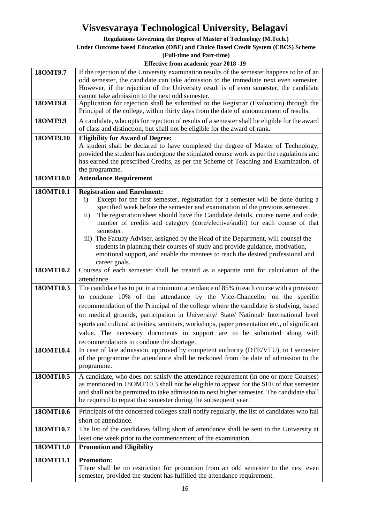**Regulations Governing the Degree of Master of Technology (M.Tech.)**

#### **Under Outcome based Education (OBE) and Choice Based Credit System (CBCS) Scheme**

**(Full-time and Part-time)**

| 180MT9.7  | If the rejection of the University examination results of the semester happens to be of an       |
|-----------|--------------------------------------------------------------------------------------------------|
|           | odd semester, the candidate can take admission to the immediate next even semester.              |
|           | However, if the rejection of the University result is of even semester, the candidate            |
|           | cannot take admission to the next odd semester.                                                  |
| 180MT9.8  | Application for rejection shall be submitted to the Registrar (Evaluation) through the           |
|           | Principal of the college, within thirty days from the date of announcement of results.           |
| 180MT9.9  | A candidate, who opts for rejection of results of a semester shall be eligible for the award     |
|           | of class and distinction, but shall not be eligible for the award of rank.                       |
| 180MT9.10 | <b>Eligibility for Award of Degree:</b>                                                          |
|           | A student shall be declared to have completed the degree of Master of Technology,                |
|           | provided the student has undergone the stipulated course work as per the regulations and         |
|           | has earned the prescribed Credits, as per the Scheme of Teaching and Examination, of             |
|           | the programme.                                                                                   |
| 180MT10.0 | <b>Attendance Requirement</b>                                                                    |
| 180MT10.1 | <b>Registration and Enrolment:</b>                                                               |
|           | Except for the first semester, registration for a semester will be done during a<br>$\mathbf{i}$ |
|           | specified week before the semester end examination of the previous semester.                     |
|           | The registration sheet should have the Candidate details, course name and code,<br>$\mathbf{ii}$ |
|           | number of credits and category (core/elective/audit) for each course of that                     |
|           | semester.                                                                                        |
|           | iii) The Faculty Adviser, assigned by the Head of the Department, will counsel the               |
|           | students in planning their courses of study and provide guidance, motivation,                    |
|           | emotional support, and enable the mentees to reach the desired professional and<br>career goals. |
| 180MT10.2 | Courses of each semester shall be treated as a separate unit for calculation of the              |
|           | attendance.                                                                                      |
| 180MT10.3 | The candidate has to put in a minimum attendance of 85% in each course with a provision          |
|           |                                                                                                  |
|           | to condone 10% of the attendance by the Vice-Chancellor on the specific                          |
|           | recommendation of the Principal of the college where the candidate is studying, based            |
|           | on medical grounds, participation in University/ State/ National/ International level            |
|           | sports and cultural activities, seminars, workshops, paper presentation etc., of significant     |
|           | value. The necessary documents in support are to be submitted along with                         |
|           | recommendations to condone the shortage.                                                         |
| 180MT10.4 | In case of late admission, approved by competent authority (DTE/VTU), to I semester              |
|           | of the programme the attendance shall be reckoned from the date of admission to the              |
|           | programme.                                                                                       |
| 180MT10.5 | A candidate, who does not satisfy the attendance requirement (in one or more Courses)            |
|           | as mentioned in 180MT10.3 shall not be eligible to appear for the SEE of that semester           |
|           | and shall not be permitted to take admission to next higher semester. The candidate shall        |
|           | be required to repeat that semester during the subsequent year.                                  |
| 180MT10.6 | Principals of the concerned colleges shall notify regularly, the list of candidates who fall     |
|           | short of attendance.                                                                             |
| 180MT10.7 | The list of the candidates falling short of attendance shall be sent to the University at        |
|           | least one week prior to the commencement of the examination.                                     |
| 180MT11.0 | <b>Promotion and Eligibility</b>                                                                 |
| 180MT11.1 | <b>Promotion:</b>                                                                                |
|           | There shall be no restriction for promotion from an odd semester to the next even                |
|           | semester, provided the student has fulfilled the attendance requirement.                         |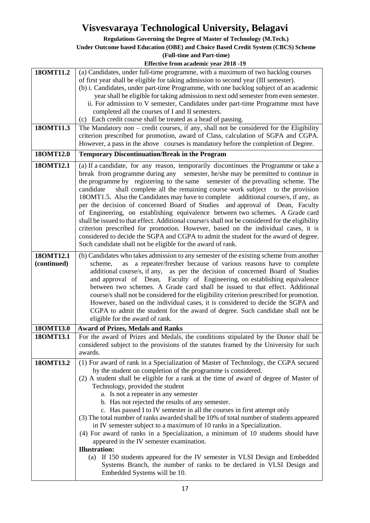**Regulations Governing the Degree of Master of Technology (M.Tech.)**

#### **Under Outcome based Education (OBE) and Choice Based Credit System (CBCS) Scheme**

|                          | Effective from academic year 2018 -19                                                                                                                                                                                                                                                                                                                                                                                                                                                                                                                                                                                                                                                                                                                                                                                                                                                                                                                                           |
|--------------------------|---------------------------------------------------------------------------------------------------------------------------------------------------------------------------------------------------------------------------------------------------------------------------------------------------------------------------------------------------------------------------------------------------------------------------------------------------------------------------------------------------------------------------------------------------------------------------------------------------------------------------------------------------------------------------------------------------------------------------------------------------------------------------------------------------------------------------------------------------------------------------------------------------------------------------------------------------------------------------------|
| 180MT11.2<br>180MT11.3   | (a) Candidates, under full-time programme, with a maximum of two backlog courses<br>of first year shall be eligible for taking admission to second year (III semester).<br>(b) i. Candidates, under part-time Programme, with one backlog subject of an academic<br>year shall be eligible for taking admission to next odd semester from even semester.<br>ii. For admission to V semester, Candidates under part-time Programme must have<br>completed all the courses of I and II semesters.<br>(c) Each credit course shall be treated as a head of passing.<br>The Mandatory non - credit courses, if any, shall not be considered for the Eligibility<br>criterion prescribed for promotion, award of Class, calculation of SGPA and CGPA.<br>However, a pass in the above courses is mandatory before the completion of Degree.                                                                                                                                          |
| 180MT12.0                | <b>Temporary Discontinuation/Break in the Program</b>                                                                                                                                                                                                                                                                                                                                                                                                                                                                                                                                                                                                                                                                                                                                                                                                                                                                                                                           |
| 180MT12.1                | (a) If a candidate, for any reason, temporarily discontinues the Programme or take a<br>break from programme during any semester, he/she may be permitted to continue in<br>the programme by registering to the same semester of the prevailing scheme. The<br>shall complete all the remaining course work subject to the provision<br>candidate<br>18OMT1.5. Also the Candidates may have to complete additional course/s, if any, as<br>per the decision of concerned Board of Studies and approval of Dean, Faculty<br>of Engineering, on establishing equivalence between two schemes. A Grade card<br>shall be issued to that effect. Additional course/s shall not be considered for the eligibility<br>criterion prescribed for promotion. However, based on the individual cases, it is<br>considered to decide the SGPA and CGPA to admit the student for the award of degree.<br>Such candidate shall not be eligible for the award of rank.                         |
| 180MT12.1<br>(continued) | (b) Candidates who takes admission to any semester of the existing scheme from another<br>a repeater/fresher because of various reasons have to complete<br>scheme,<br>as<br>additional course/s, if any, as per the decision of concerned Board of Studies<br>and approval of Dean, Faculty of Engineering, on establishing equivalence<br>between two schemes. A Grade card shall be issued to that effect. Additional<br>course/s shall not be considered for the eligibility criterion prescribed for promotion.<br>However, based on the individual cases, it is considered to decide the SGPA and<br>CGPA to admit the student for the award of degree. Such candidate shall not be<br>eligible for the award of rank.                                                                                                                                                                                                                                                    |
| 180MT13.0                | <b>Award of Prizes, Medals and Ranks</b>                                                                                                                                                                                                                                                                                                                                                                                                                                                                                                                                                                                                                                                                                                                                                                                                                                                                                                                                        |
| 180MT13.1                | For the award of Prizes and Medals, the conditions stipulated by the Donor shall be<br>considered subject to the provisions of the statutes framed by the University for such<br>awards.                                                                                                                                                                                                                                                                                                                                                                                                                                                                                                                                                                                                                                                                                                                                                                                        |
| 180MT13.2                | (1) For award of rank in a Specialization of Master of Technology, the CGPA secured<br>by the student on completion of the programme is considered.<br>(2) A student shall be eligible for a rank at the time of award of degree of Master of<br>Technology, provided the student<br>a. Is not a repeater in any semester<br>b. Has not rejected the results of any semester.<br>c. Has passed I to IV semester in all the courses in first attempt only<br>(3) The total number of ranks awarded shall be 10% of total number of students appeared<br>in IV semester subject to a maximum of 10 ranks in a Specialization.<br>(4) For award of ranks in a Specialization, a minimum of 10 students should have<br>appeared in the IV semester examination.<br><b>Illustration:</b><br>If 150 students appeared for the IV semester in VLSI Design and Embedded<br>(a)<br>Systems Branch, the number of ranks to be declared in VLSI Design and<br>Embedded Systems will be 10. |